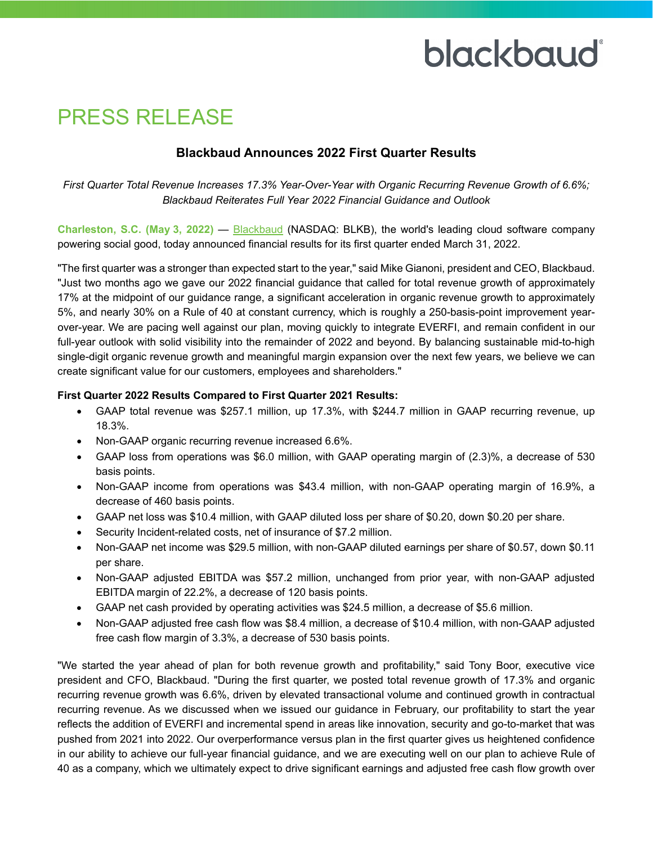# blackbaud

### PRESS RELEASE

### **Blackbaud Announces 2022 First Quarter Results**

*First Quarter Total Revenue Increases 17.3% Year-Over-Year with Organic Recurring Revenue Growth of 6.6%; Blackbaud Reiterates Full Year 2022 Financial Guidance and Outlook* 

**Charleston, S.C. (May 3, 2022)** — [Blackbaud](http://www.blackbaud.com/) (NASDAQ: BLKB), the world's leading cloud software company powering social good, today announced financial results for its first quarter ended March 31, 2022.

"The first quarter was a stronger than expected start to the year," said Mike Gianoni, president and CEO, Blackbaud. "Just two months ago we gave our 2022 financial guidance that called for total revenue growth of approximately 17% at the midpoint of our guidance range, a significant acceleration in organic revenue growth to approximately 5%, and nearly 30% on a Rule of 40 at constant currency, which is roughly a 250-basis-point improvement yearover-year. We are pacing well against our plan, moving quickly to integrate EVERFI, and remain confident in our full-year outlook with solid visibility into the remainder of 2022 and beyond. By balancing sustainable mid-to-high single-digit organic revenue growth and meaningful margin expansion over the next few years, we believe we can create significant value for our customers, employees and shareholders."

#### **First Quarter 2022 Results Compared to First Quarter 2021 Results:**

- GAAP total revenue was \$257.1 million, up 17.3%, with \$244.7 million in GAAP recurring revenue, up 18.3%.
- Non-GAAP organic recurring revenue increased 6.6%.
- GAAP loss from operations was \$6.0 million, with GAAP operating margin of (2.3)%, a decrease of 530 basis points.
- Non-GAAP income from operations was \$43.4 million, with non-GAAP operating margin of 16.9%, a decrease of 460 basis points.
- GAAP net loss was \$10.4 million, with GAAP diluted loss per share of \$0.20, down \$0.20 per share.
- Security Incident-related costs, net of insurance of \$7.2 million.
- Non-GAAP net income was \$29.5 million, with non-GAAP diluted earnings per share of \$0.57, down \$0.11 per share.
- Non-GAAP adjusted EBITDA was \$57.2 million, unchanged from prior year, with non-GAAP adjusted EBITDA margin of 22.2%, a decrease of 120 basis points.
- GAAP net cash provided by operating activities was \$24.5 million, a decrease of \$5.6 million.
- Non-GAAP adjusted free cash flow was \$8.4 million, a decrease of \$10.4 million, with non-GAAP adjusted free cash flow margin of 3.3%, a decrease of 530 basis points.

"We started the year ahead of plan for both revenue growth and profitability," said Tony Boor, executive vice president and CFO, Blackbaud. "During the first quarter, we posted total revenue growth of 17.3% and organic recurring revenue growth was 6.6%, driven by elevated transactional volume and continued growth in contractual recurring revenue. As we discussed when we issued our guidance in February, our profitability to start the year reflects the addition of EVERFI and incremental spend in areas like innovation, security and go-to-market that was pushed from 2021 into 2022. Our overperformance versus plan in the first quarter gives us heightened confidence in our ability to achieve our full-year financial guidance, and we are executing well on our plan to achieve Rule of 40 as a company, which we ultimately expect to drive significant earnings and adjusted free cash flow growth over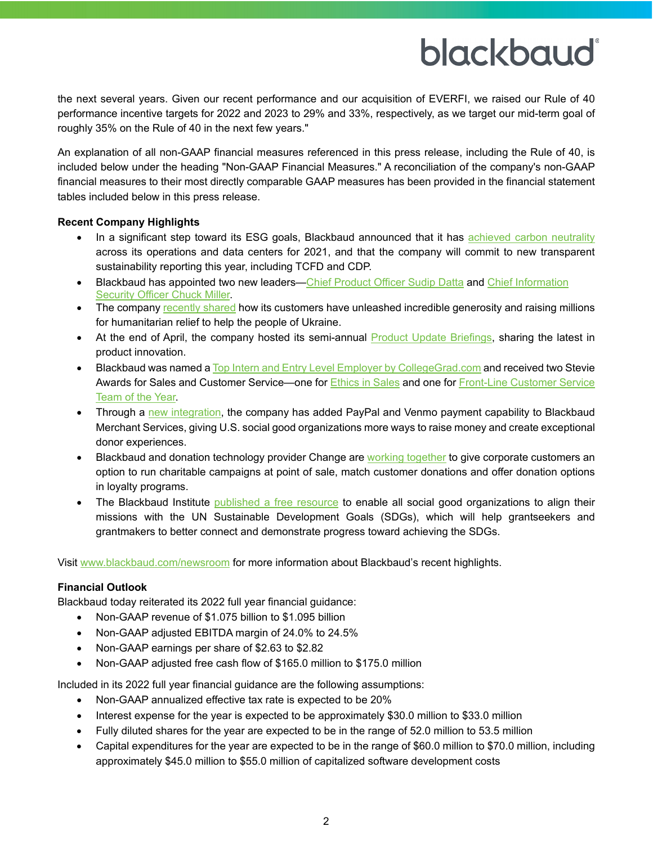## blackbaud®

the next several years. Given our recent performance and our acquisition of EVERFI, we raised our Rule of 40 performance incentive targets for 2022 and 2023 to 29% and 33%, respectively, as we target our mid-term goal of roughly 35% on the Rule of 40 in the next few years."

An explanation of all non-GAAP financial measures referenced in this press release, including the Rule of 40, is included below under the heading "Non-GAAP Financial Measures." A reconciliation of the company's non-GAAP financial measures to their most directly comparable GAAP measures has been provided in the financial statement tables included below in this press release.

#### **Recent Company Highlights**

- In a significant step toward its ESG goals, Blackbaud announced that it has [achieved carbon neutrality](https://www.blackbaud.com/newsroom/article/2022/04/18/blackbaud-achieves-carbon-neutrality-and-commits-to-new-transparent-sustainability-reporting) across its operations and data centers for 2021, and that the company will commit to new transparent sustainability reporting this year, including TCFD and CDP.
- Blackbaud has appointed two new leaders[—Chief Product Officer Sudip Datta](https://www.blackbaud.com/newsroom/article/2022/04/19/blackbaud-appoints-sudip-datta-as-chief-product-officer) and Chief Information [Security Officer Chuck Miller.](https://www.blackbaud.com/newsroom/article/2022/04/21/blackbaud-names-charles-chuck-miller-chief-information-security-officer)
- The company [recently shared](https://www.blackbaud.com/newsroom/article/2022/04/15/blackbaud-customers-come-together-to-raise-millions-for-ukraine) how its customers have unleashed incredible generosity and raising millions for humanitarian relief to help the people of Ukraine.
- At the end of April, the company hosted its semi-annual [Product Update Briefings,](https://www.blackbaud.com/products/product-update-briefings-overview) sharing the latest in product innovation.
- Blackbaud was named [a Top Intern and Entry Level Employer by CollegeGrad.com](https://www.blackbaud.com/newsroom/article/2022/03/08/blackbaud-named-a-top-intern-and-entry-level-employer-by-collegegrad-com) and received two Stevie Awards for Sales and Customer Service—one for [Ethics in Sales](https://www.blackbaud.com/newsroom/article/2022/04/04/blackbaud-is-recognized-with-a-2022-gold-stevie-award-for-ethics-in-sales) and one for Front-Line Customer Service [Team of the Year.](https://www.blackbaud.com/newsroom/article/2022/03/21/blackbaud-is-recognized-with-a-2022-silver-stevie-award-for-front-line-customer-service-team-of-the-year)
- Through a [new integration,](https://www.blackbaud.com/newsroom/article/2022/03/23/blackbaud-adds-paypal-and-venmo-payment-capability-for-blackbaud-merchant-services-customers) the company has added PayPal and Venmo payment capability to Blackbaud Merchant Services, giving U.S. social good organizations more ways to raise money and create exceptional donor experiences.
- Blackbaud and donation technology provider Change are [working together](https://www.blackbaud.com/newsroom/article/2022/03/10/blackbaud-partners-with-change-a-donation-technology-platform-to-offer-companies-customer-facing-giving-experiences) to give corporate customers an option to run charitable campaigns at point of sale, match customer donations and offer donation options in loyalty programs.
- The Blackbaud Institute [published a free resource](https://www.blackbaud.com/newsroom/article/2022/04/12/the-blackbaud-institute-releases-the-sdg-connector-a-valuable-resource-for-all-social-good-organizations) to enable all social good organizations to align their missions with the UN Sustainable Development Goals (SDGs), which will help grantseekers and grantmakers to better connect and demonstrate progress toward achieving the SDGs.

Visit [www.blackbaud.com/newsroom](https://www.blackbaud.com/newsroom) for more information about Blackbaud's recent highlights.

#### **Financial Outlook**

Blackbaud today reiterated its 2022 full year financial guidance:

- Non-GAAP revenue of \$1.075 billion to \$1.095 billion
- Non-GAAP adjusted EBITDA margin of 24.0% to 24.5%
- Non-GAAP earnings per share of \$2.63 to \$2.82
- Non-GAAP adjusted free cash flow of \$165.0 million to \$175.0 million

Included in its 2022 full year financial guidance are the following assumptions:

- Non-GAAP annualized effective tax rate is expected to be 20%
- Interest expense for the year is expected to be approximately \$30.0 million to \$33.0 million
- Fully diluted shares for the year are expected to be in the range of 52.0 million to 53.5 million
- Capital expenditures for the year are expected to be in the range of \$60.0 million to \$70.0 million, including approximately \$45.0 million to \$55.0 million of capitalized software development costs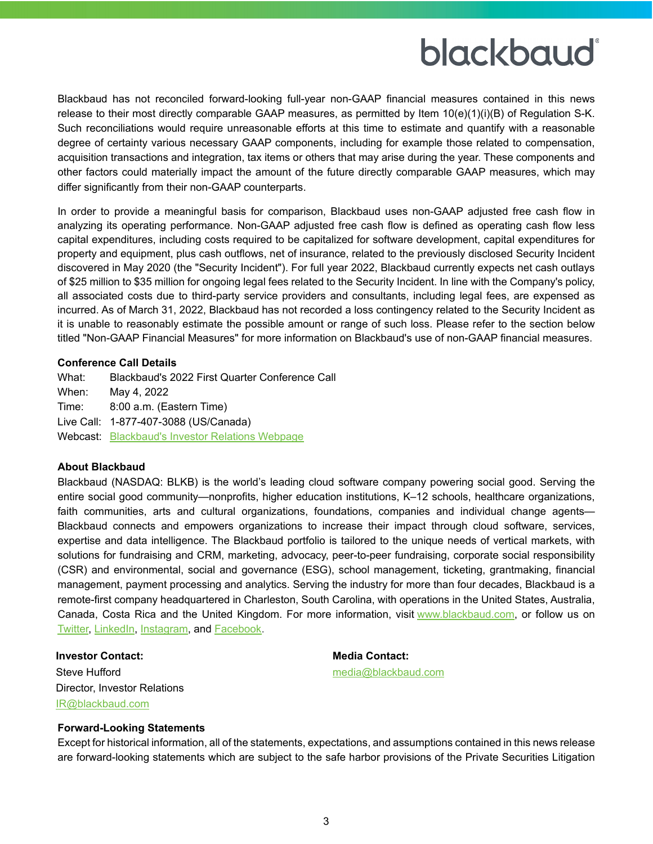### blackbaud®

Blackbaud has not reconciled forward-looking full-year non-GAAP financial measures contained in this news release to their most directly comparable GAAP measures, as permitted by Item 10(e)(1)(i)(B) of Regulation S-K. Such reconciliations would require unreasonable efforts at this time to estimate and quantify with a reasonable degree of certainty various necessary GAAP components, including for example those related to compensation, acquisition transactions and integration, tax items or others that may arise during the year. These components and other factors could materially impact the amount of the future directly comparable GAAP measures, which may differ significantly from their non-GAAP counterparts.

In order to provide a meaningful basis for comparison, Blackbaud uses non-GAAP adjusted free cash flow in analyzing its operating performance. Non-GAAP adjusted free cash flow is defined as operating cash flow less capital expenditures, including costs required to be capitalized for software development, capital expenditures for property and equipment, plus cash outflows, net of insurance, related to the previously disclosed Security Incident discovered in May 2020 (the "Security Incident"). For full year 2022, Blackbaud currently expects net cash outlays of \$25 million to \$35 million for ongoing legal fees related to the Security Incident. In line with the Company's policy, all associated costs due to third-party service providers and consultants, including legal fees, are expensed as incurred. As of March 31, 2022, Blackbaud has not recorded a loss contingency related to the Security Incident as it is unable to reasonably estimate the possible amount or range of such loss. Please refer to the section below titled "Non-GAAP Financial Measures" for more information on Blackbaud's use of non-GAAP financial measures.

#### **Conference Call Details**

What: Blackbaud's 2022 First Quarter Conference Call When: May 4, 2022 Time: 8:00 a.m. (Eastern Time) Live Call: 1-877-407-3088 (US/Canada) Webcast: [Blackbaud's Investor Relations Webpage](https://investor.blackbaud.com/)

#### **About Blackbaud**

Blackbaud (NASDAQ: BLKB) is the world's leading cloud software company powering social good. Serving the entire social good community—nonprofits, higher education institutions, K–12 schools, healthcare organizations, faith communities, arts and cultural organizations, foundations, companies and individual change agents— Blackbaud connects and empowers organizations to increase their impact through cloud software, services, expertise and data intelligence. The Blackbaud portfolio is tailored to the unique needs of vertical markets, with solutions for fundraising and CRM, marketing, advocacy, peer-to-peer fundraising, corporate social responsibility (CSR) and environmental, social and governance (ESG), school management, ticketing, grantmaking, financial management, payment processing and analytics. Serving the industry for more than four decades, Blackbaud is a remote-first company headquartered in Charleston, South Carolina, with operations in the United States, Australia, Canada, Costa Rica and the United Kingdom. For more information, visit [www.blackbaud.com,](http://www.blackbaud.com/) or follow us on [Twitter,](https://twitter.com/blackbaud) [LinkedIn,](https://www.linkedin.com/company/blackbaud/) [Instagram,](https://www.instagram.com/blackbaud/) and [Facebook.](https://www.facebook.com/blackbaud/)

Steve Hufford [media@blackbaud.com](mailto:media@blackbaud.com) Director, Investor Relations [IR@blackbaud.com](mailto:IR@blackbaud.com)

#### **Investor Contact: Media Contact:**

#### **Forward-Looking Statements**

Except for historical information, all of the statements, expectations, and assumptions contained in this news release are forward-looking statements which are subject to the safe harbor provisions of the Private Securities Litigation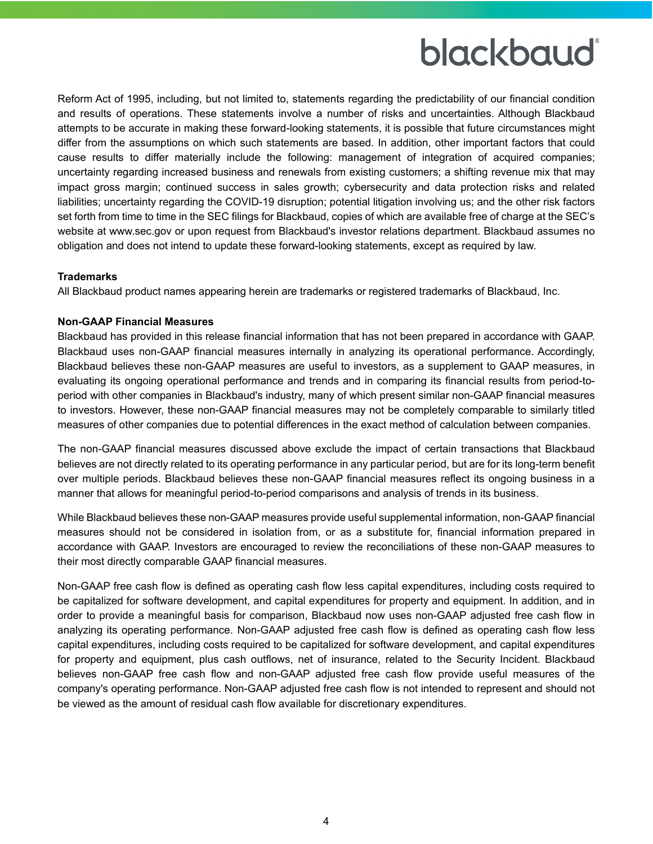### blackbaud®

Reform Act of 1995, including, but not limited to, statements regarding the predictability of our financial condition and results of operations. These statements involve a number of risks and uncertainties. Although Blackbaud attempts to be accurate in making these forward-looking statements, it is possible that future circumstances might differ from the assumptions on which such statements are based. In addition, other important factors that could cause results to differ materially include the following: management of integration of acquired companies; uncertainty regarding increased business and renewals from existing customers; a shifting revenue mix that may impact gross margin; continued success in sales growth; cybersecurity and data protection risks and related liabilities; uncertainty regarding the COVID-19 disruption; potential litigation involving us; and the other risk factors set forth from time to time in the SEC filings for Blackbaud, copies of which are available free of charge at the SEC's website at www.sec.gov or upon request from Blackbaud's investor relations department. Blackbaud assumes no obligation and does not intend to update these forward-looking statements, except as required by law.

#### **Trademarks**

All Blackbaud product names appearing herein are trademarks or registered trademarks of Blackbaud, Inc.

#### **Non-GAAP Financial Measures**

Blackbaud has provided in this release financial information that has not been prepared in accordance with GAAP. Blackbaud uses non-GAAP financial measures internally in analyzing its operational performance. Accordingly, Blackbaud believes these non-GAAP measures are useful to investors, as a supplement to GAAP measures, in evaluating its ongoing operational performance and trends and in comparing its financial results from period-toperiod with other companies in Blackbaud's industry, many of which present similar non-GAAP financial measures to investors. However, these non-GAAP financial measures may not be completely comparable to similarly titled measures of other companies due to potential differences in the exact method of calculation between companies.

The non-GAAP financial measures discussed above exclude the impact of certain transactions that Blackbaud believes are not directly related to its operating performance in any particular period, but are for its long-term benefit over multiple periods. Blackbaud believes these non-GAAP financial measures reflect its ongoing business in a manner that allows for meaningful period-to-period comparisons and analysis of trends in its business.

While Blackbaud believes these non-GAAP measures provide useful supplemental information, non-GAAP financial measures should not be considered in isolation from, or as a substitute for, financial information prepared in accordance with GAAP. Investors are encouraged to review the reconciliations of these non-GAAP measures to their most directly comparable GAAP financial measures.

Non-GAAP free cash flow is defined as operating cash flow less capital expenditures, including costs required to be capitalized for software development, and capital expenditures for property and equipment. In addition, and in order to provide a meaningful basis for comparison, Blackbaud now uses non-GAAP adjusted free cash flow in analyzing its operating performance. Non-GAAP adjusted free cash flow is defined as operating cash flow less capital expenditures, including costs required to be capitalized for software development, and capital expenditures for property and equipment, plus cash outflows, net of insurance, related to the Security Incident. Blackbaud believes non-GAAP free cash flow and non-GAAP adjusted free cash flow provide useful measures of the company's operating performance. Non-GAAP adjusted free cash flow is not intended to represent and should not be viewed as the amount of residual cash flow available for discretionary expenditures.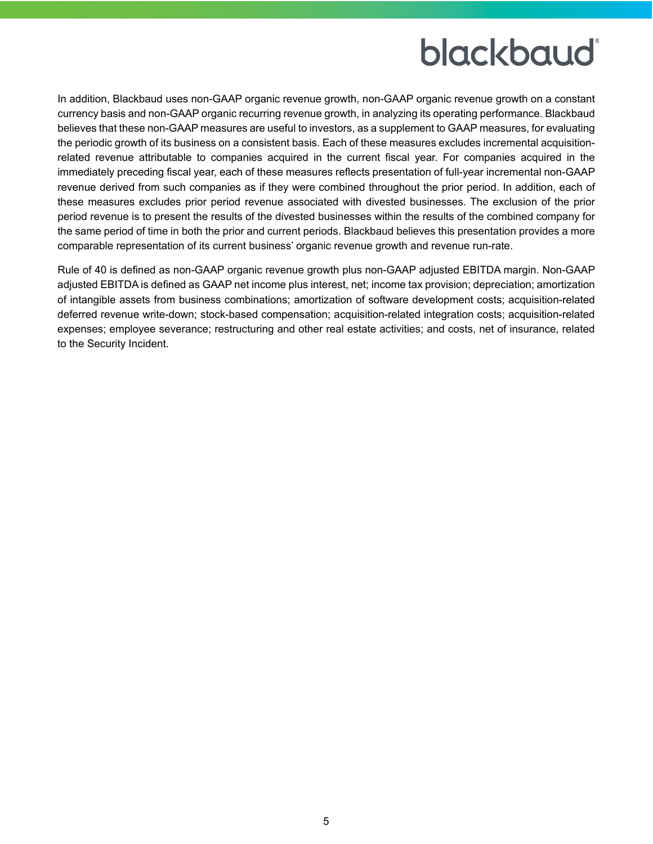### blackbaud

In addition, Blackbaud uses non-GAAP organic revenue growth, non-GAAP organic revenue growth on a constant currency basis and non-GAAP organic recurring revenue growth, in analyzing its operating performance. Blackbaud believes that these non-GAAP measures are useful to investors, as a supplement to GAAP measures, for evaluating the periodic growth of its business on a consistent basis. Each of these measures excludes incremental acquisitionrelated revenue attributable to companies acquired in the current fiscal year. For companies acquired in the immediately preceding fiscal year, each of these measures reflects presentation of full-year incremental non-GAAP revenue derived from such companies as if they were combined throughout the prior period. In addition, each of these measures excludes prior period revenue associated with divested businesses. The exclusion of the prior period revenue is to present the results of the divested businesses within the results of the combined company for the same period of time in both the prior and current periods. Blackbaud believes this presentation provides a more comparable representation of its current business' organic revenue growth and revenue run-rate.

Rule of 40 is defined as non-GAAP organic revenue growth plus non-GAAP adjusted EBITDA margin. Non-GAAP adjusted EBITDA is defined as GAAP net income plus interest, net; income tax provision; depreciation; amortization of intangible assets from business combinations; amortization of software development costs; acquisition-related deferred revenue write-down; stock-based compensation; acquisition-related integration costs; acquisition-related expenses; employee severance; restructuring and other real estate activities; and costs, net of insurance, related to the Security Incident.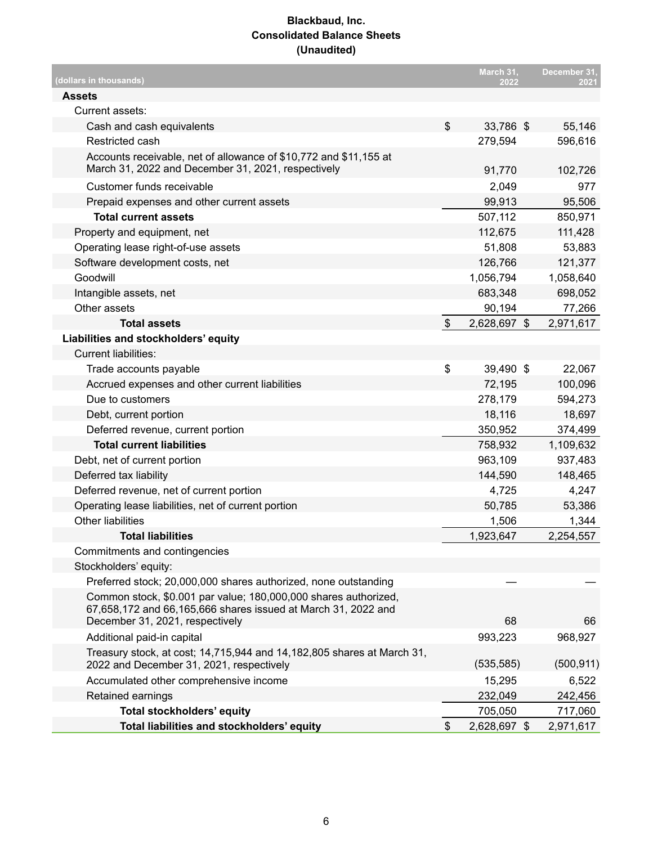#### **Blackbaud, Inc. Consolidated Balance Sheets (Unaudited)**

| (dollars in thousands)                                                                                                           |                           | March 31,<br>2022 | December 31,<br>2021 |
|----------------------------------------------------------------------------------------------------------------------------------|---------------------------|-------------------|----------------------|
| <b>Assets</b>                                                                                                                    |                           |                   |                      |
| Current assets:                                                                                                                  |                           |                   |                      |
| Cash and cash equivalents                                                                                                        | \$                        | 33,786 \$         | 55,146               |
| Restricted cash                                                                                                                  |                           | 279,594           | 596,616              |
| Accounts receivable, net of allowance of \$10,772 and \$11,155 at<br>March 31, 2022 and December 31, 2021, respectively          |                           | 91,770            | 102,726              |
| Customer funds receivable                                                                                                        |                           | 2,049             | 977                  |
| Prepaid expenses and other current assets                                                                                        |                           | 99,913            | 95,506               |
| <b>Total current assets</b>                                                                                                      |                           | 507,112           | 850,971              |
| Property and equipment, net                                                                                                      |                           | 112,675           | 111,428              |
| Operating lease right-of-use assets                                                                                              |                           | 51,808            | 53,883               |
| Software development costs, net                                                                                                  |                           | 126,766           | 121,377              |
| Goodwill                                                                                                                         |                           | 1,056,794         | 1,058,640            |
| Intangible assets, net                                                                                                           |                           | 683,348           | 698,052              |
| Other assets                                                                                                                     |                           | 90,194            | 77,266               |
| <b>Total assets</b>                                                                                                              | $\boldsymbol{\mathsf{S}}$ | 2,628,697 \$      | 2,971,617            |
| Liabilities and stockholders' equity                                                                                             |                           |                   |                      |
| <b>Current liabilities:</b>                                                                                                      |                           |                   |                      |
| Trade accounts payable                                                                                                           | \$                        | 39,490 \$         | 22,067               |
| Accrued expenses and other current liabilities                                                                                   |                           | 72,195            | 100,096              |
| Due to customers                                                                                                                 |                           | 278,179           | 594,273              |
| Debt, current portion                                                                                                            |                           | 18,116            | 18,697               |
| Deferred revenue, current portion                                                                                                |                           | 350,952           | 374,499              |
| <b>Total current liabilities</b>                                                                                                 |                           | 758,932           | 1,109,632            |
| Debt, net of current portion                                                                                                     |                           | 963,109           | 937,483              |
| Deferred tax liability                                                                                                           |                           | 144,590           | 148,465              |
| Deferred revenue, net of current portion                                                                                         |                           | 4,725             | 4,247                |
| Operating lease liabilities, net of current portion                                                                              |                           | 50,785            | 53,386               |
| <b>Other liabilities</b>                                                                                                         |                           | 1,506             | 1,344                |
| <b>Total liabilities</b>                                                                                                         |                           | 1,923,647         | 2,254,557            |
| Commitments and contingencies                                                                                                    |                           |                   |                      |
| Stockholders' equity:                                                                                                            |                           |                   |                      |
| Preferred stock; 20,000,000 shares authorized, none outstanding                                                                  |                           |                   |                      |
| Common stock, \$0.001 par value; 180,000,000 shares authorized,<br>67,658,172 and 66,165,666 shares issued at March 31, 2022 and |                           |                   |                      |
| December 31, 2021, respectively                                                                                                  |                           | 68                | 66                   |
| Additional paid-in capital                                                                                                       |                           | 993,223           | 968,927              |
| Treasury stock, at cost; 14,715,944 and 14,182,805 shares at March 31,<br>2022 and December 31, 2021, respectively               |                           | (535, 585)        | (500, 911)           |
| Accumulated other comprehensive income                                                                                           |                           | 15,295            | 6,522                |
| Retained earnings                                                                                                                |                           | 232,049           | 242,456              |
| Total stockholders' equity                                                                                                       |                           | 705,050           | 717,060              |
| Total liabilities and stockholders' equity                                                                                       | \$                        | 2,628,697 \$      | 2,971,617            |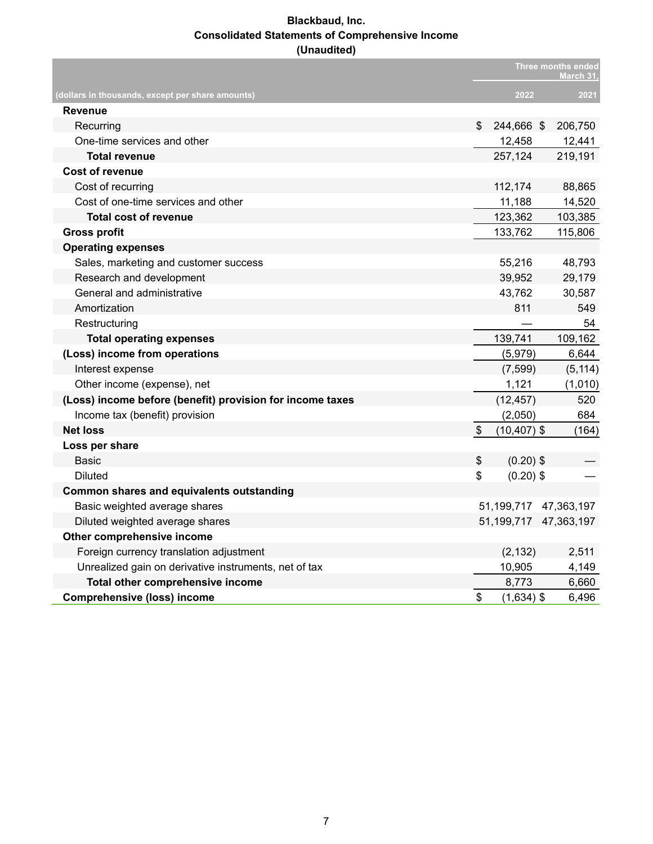#### **Blackbaud, Inc. Consolidated Statements of Comprehensive Income (Unaudited)**

|                                                           |                           |                | Three months ended<br><b>March 31</b> |
|-----------------------------------------------------------|---------------------------|----------------|---------------------------------------|
| (dollars in thousands, except per share amounts)          |                           | 2022           | 2021                                  |
| <b>Revenue</b>                                            |                           |                |                                       |
| Recurring                                                 | \$                        | 244,666 \$     | 206,750                               |
| One-time services and other                               |                           | 12,458         | 12,441                                |
| <b>Total revenue</b>                                      |                           | 257,124        | 219,191                               |
| <b>Cost of revenue</b>                                    |                           |                |                                       |
| Cost of recurring                                         |                           | 112,174        | 88,865                                |
| Cost of one-time services and other                       |                           | 11,188         | 14,520                                |
| Total cost of revenue                                     |                           | 123,362        | 103,385                               |
| <b>Gross profit</b>                                       |                           | 133,762        | 115,806                               |
| <b>Operating expenses</b>                                 |                           |                |                                       |
| Sales, marketing and customer success                     |                           | 55,216         | 48,793                                |
| Research and development                                  |                           | 39,952         | 29,179                                |
| General and administrative                                |                           | 43,762         | 30,587                                |
| Amortization                                              |                           | 811            | 549                                   |
| Restructuring                                             |                           |                | 54                                    |
| <b>Total operating expenses</b>                           |                           | 139,741        | 109,162                               |
| (Loss) income from operations                             |                           | (5,979)        | 6,644                                 |
| Interest expense                                          |                           | (7, 599)       | (5, 114)                              |
| Other income (expense), net                               |                           | 1,121          | (1,010)                               |
| (Loss) income before (benefit) provision for income taxes |                           | (12, 457)      | 520                                   |
| Income tax (benefit) provision                            |                           | (2,050)        | 684                                   |
| <b>Net loss</b>                                           | $\boldsymbol{\mathsf{S}}$ | $(10, 407)$ \$ | (164)                                 |
| Loss per share                                            |                           |                |                                       |
| Basic                                                     | \$                        | $(0.20)$ \$    |                                       |
| Diluted                                                   | \$                        | $(0.20)$ \$    |                                       |
| Common shares and equivalents outstanding                 |                           |                |                                       |
| Basic weighted average shares                             |                           |                | 51, 199, 717 47, 363, 197             |
| Diluted weighted average shares                           |                           |                | 51,199,717 47,363,197                 |
| Other comprehensive income                                |                           |                |                                       |
| Foreign currency translation adjustment                   |                           | (2, 132)       | 2,511                                 |
| Unrealized gain on derivative instruments, net of tax     |                           | 10,905         | 4,149                                 |
| Total other comprehensive income                          |                           | 8,773          | 6,660                                 |
| <b>Comprehensive (loss) income</b>                        | \$                        | $(1,634)$ \$   | 6,496                                 |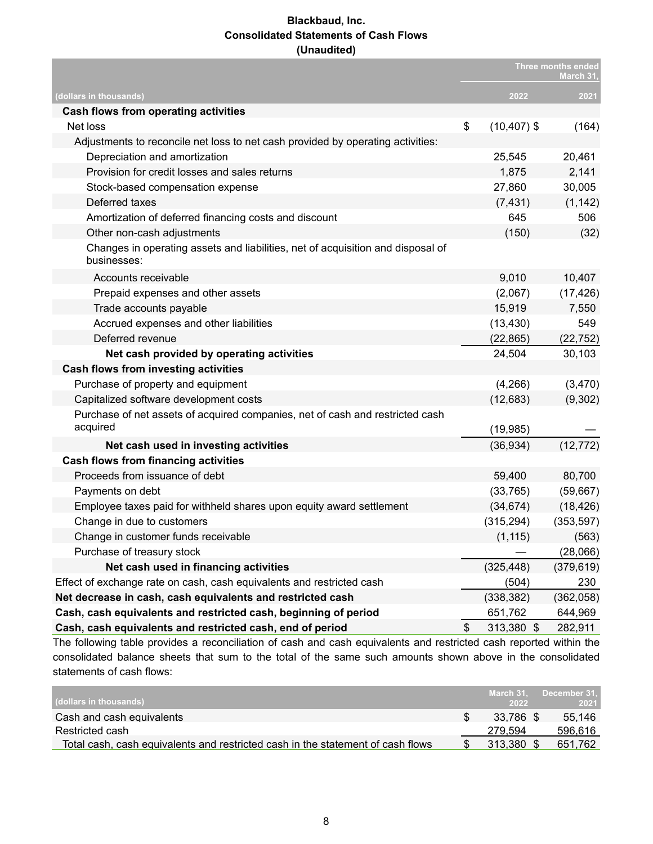#### **Blackbaud, Inc. Consolidated Statements of Cash Flows (Unaudited)**

|                                                                                                |                      | <b>Three months ended</b><br>March 31. |
|------------------------------------------------------------------------------------------------|----------------------|----------------------------------------|
| (dollars in thousands)                                                                         | 2022                 | 2021                                   |
| Cash flows from operating activities                                                           |                      |                                        |
| Net loss                                                                                       | \$<br>$(10, 407)$ \$ | (164)                                  |
| Adjustments to reconcile net loss to net cash provided by operating activities:                |                      |                                        |
| Depreciation and amortization                                                                  | 25,545               | 20,461                                 |
| Provision for credit losses and sales returns                                                  | 1,875                | 2,141                                  |
| Stock-based compensation expense                                                               | 27,860               | 30,005                                 |
| Deferred taxes                                                                                 | (7, 431)             | (1, 142)                               |
| Amortization of deferred financing costs and discount                                          | 645                  | 506                                    |
| Other non-cash adjustments                                                                     | (150)                | (32)                                   |
| Changes in operating assets and liabilities, net of acquisition and disposal of<br>businesses: |                      |                                        |
| Accounts receivable                                                                            | 9,010                | 10,407                                 |
| Prepaid expenses and other assets                                                              | (2,067)              | (17, 426)                              |
| Trade accounts payable                                                                         | 15,919               | 7,550                                  |
| Accrued expenses and other liabilities                                                         | (13, 430)            | 549                                    |
| Deferred revenue                                                                               | (22, 865)            | (22, 752)                              |
| Net cash provided by operating activities                                                      | 24,504               | 30,103                                 |
| <b>Cash flows from investing activities</b>                                                    |                      |                                        |
| Purchase of property and equipment                                                             | (4,266)              | (3,470)                                |
| Capitalized software development costs                                                         | (12,683)             | (9,302)                                |
| Purchase of net assets of acquired companies, net of cash and restricted cash<br>acquired      | (19, 985)            |                                        |
| Net cash used in investing activities                                                          | (36, 934)            | (12, 772)                              |
| <b>Cash flows from financing activities</b>                                                    |                      |                                        |
| Proceeds from issuance of debt                                                                 | 59,400               | 80,700                                 |
| Payments on debt                                                                               | (33, 765)            | (59, 667)                              |
| Employee taxes paid for withheld shares upon equity award settlement                           | (34, 674)            | (18, 426)                              |
| Change in due to customers                                                                     | (315, 294)           | (353, 597)                             |
| Change in customer funds receivable                                                            | (1, 115)             | (563)                                  |
| Purchase of treasury stock                                                                     |                      | (28,066)                               |
| Net cash used in financing activities                                                          | (325, 448)           | (379, 619)                             |
| Effect of exchange rate on cash, cash equivalents and restricted cash                          | (504)                | 230                                    |
| Net decrease in cash, cash equivalents and restricted cash                                     | (338, 382)           | (362,058)                              |
| Cash, cash equivalents and restricted cash, beginning of period                                | 651,762              | 644,969                                |
| Cash, cash equivalents and restricted cash, end of period                                      | \$<br>313,380 \$     | 282,911                                |

The following table provides a reconciliation of cash and cash equivalents and restricted cash reported within the consolidated balance sheets that sum to the total of the same such amounts shown above in the consolidated statements of cash flows:

| (dollars in thousands) ;                                                        | March 31.<br>2022 | December 31.<br>2021 |
|---------------------------------------------------------------------------------|-------------------|----------------------|
| Cash and cash equivalents                                                       | 33.786 \$         | 55.146               |
| Restricted cash                                                                 | 279.594           | 596.616              |
| Total cash, cash equivalents and restricted cash in the statement of cash flows | 313,380           | 651.762              |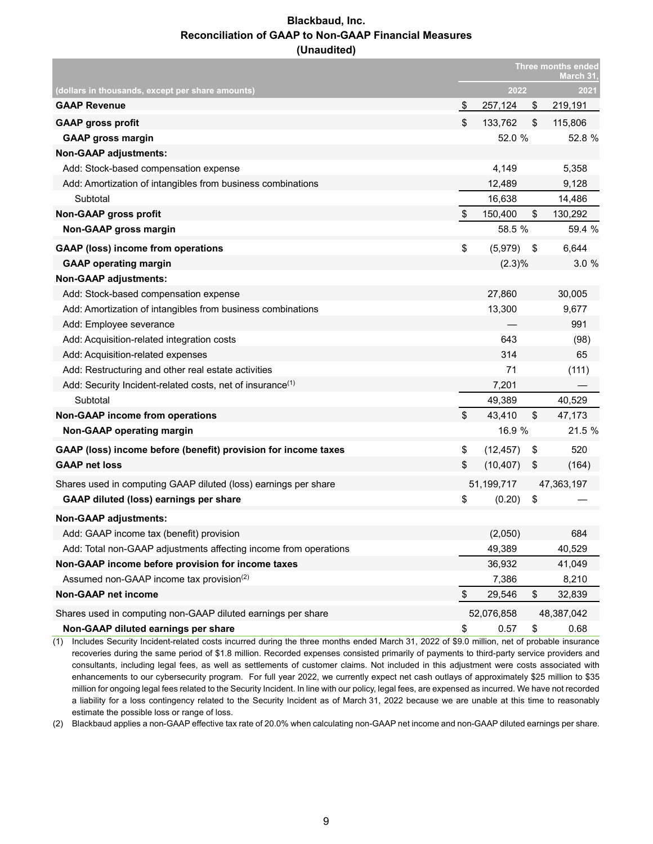#### **Blackbaud, Inc. Reconciliation of GAAP to Non-GAAP Financial Measures (Unaudited)**

|                                                                       |                   | <b>Three months ended</b><br><b>March 31</b> |    |            |
|-----------------------------------------------------------------------|-------------------|----------------------------------------------|----|------------|
| <u>(dollars in thousands, except per share amounts)</u>               |                   | 2022                                         |    | 2021       |
| <b>GAAP Revenue</b>                                                   | $\frac{1}{2}$     | 257,124                                      | \$ | 219,191    |
| <b>GAAP gross profit</b>                                              | \$                | 133,762                                      | \$ | 115,806    |
| <b>GAAP gross margin</b>                                              |                   | 52.0 %                                       |    | 52.8 %     |
| Non-GAAP adjustments:                                                 |                   |                                              |    |            |
| Add: Stock-based compensation expense                                 |                   | 4,149                                        |    | 5,358      |
| Add: Amortization of intangibles from business combinations           |                   | 12,489                                       |    | 9,128      |
| Subtotal                                                              |                   | 16,638                                       |    | 14,486     |
| <b>Non-GAAP gross profit</b>                                          | \$                | 150,400                                      | \$ | 130,292    |
| Non-GAAP gross margin                                                 |                   | 58.5 %                                       |    | 59.4 %     |
| <b>GAAP (loss) income from operations</b>                             | \$                | (5,979)                                      | \$ | 6,644      |
| <b>GAAP operating margin</b>                                          |                   | $(2.3)\%$                                    |    | 3.0%       |
| <b>Non-GAAP adjustments:</b>                                          |                   |                                              |    |            |
| Add: Stock-based compensation expense                                 |                   | 27,860                                       |    | 30,005     |
| Add: Amortization of intangibles from business combinations           |                   | 13,300                                       |    | 9,677      |
| Add: Employee severance                                               |                   |                                              |    | 991        |
| Add: Acquisition-related integration costs                            |                   | 643                                          |    | (98)       |
| Add: Acquisition-related expenses                                     |                   | 314                                          |    | 65         |
| Add: Restructuring and other real estate activities                   |                   | 71                                           |    | (111)      |
| Add: Security Incident-related costs, net of insurance <sup>(1)</sup> |                   | 7,201                                        |    |            |
| Subtotal                                                              |                   | 49,389                                       |    | 40,529     |
| <b>Non-GAAP income from operations</b>                                | \$                | 43,410                                       | \$ | 47,173     |
| Non-GAAP operating margin                                             |                   | 16.9 %                                       |    | 21.5 %     |
| GAAP (loss) income before (benefit) provision for income taxes        | \$                | (12, 457)                                    | \$ | 520        |
| <b>GAAP net loss</b>                                                  | \$                | (10, 407)                                    | \$ | (164)      |
| Shares used in computing GAAP diluted (loss) earnings per share       |                   | 51,199,717                                   |    | 47,363,197 |
| GAAP diluted (loss) earnings per share                                | \$                | (0.20)                                       | \$ |            |
| <b>Non-GAAP adjustments:</b>                                          |                   |                                              |    |            |
| Add: GAAP income tax (benefit) provision                              |                   | (2,050)                                      |    | 684        |
| Add: Total non-GAAP adjustments affecting income from operations      |                   | 49,389                                       |    | 40,529     |
| Non-GAAP income before provision for income taxes                     |                   | 36,932                                       |    | 41,049     |
| Assumed non-GAAP income tax provision <sup>(2)</sup>                  |                   | 7,386                                        |    | 8,210      |
| Non-GAAP net income                                                   | $\boldsymbol{\$}$ | 29,546                                       | \$ | 32,839     |
| Shares used in computing non-GAAP diluted earnings per share          |                   | 52,076,858                                   |    | 48,387,042 |
| Non-GAAP diluted earnings per share                                   | \$                | 0.57                                         | \$ | 0.68       |

(1) Includes Security Incident-related costs incurred during the three months ended March 31, 2022 of \$9.0 million, net of probable insurance recoveries during the same period of \$1.8 million. Recorded expenses consisted primarily of payments to third-party service providers and consultants, including legal fees, as well as settlements of customer claims. Not included in this adjustment were costs associated with enhancements to our cybersecurity program. For full year 2022, we currently expect net cash outlays of approximately \$25 million to \$35 million for ongoing legal fees related to the Security Incident. In line with our policy, legal fees, are expensed as incurred. We have not recorded a liability for a loss contingency related to the Security Incident as of March 31, 2022 because we are unable at this time to reasonably estimate the possible loss or range of loss.

(2) Blackbaud applies a non-GAAP effective tax rate of 20.0% when calculating non-GAAP net income and non-GAAP diluted earnings per share.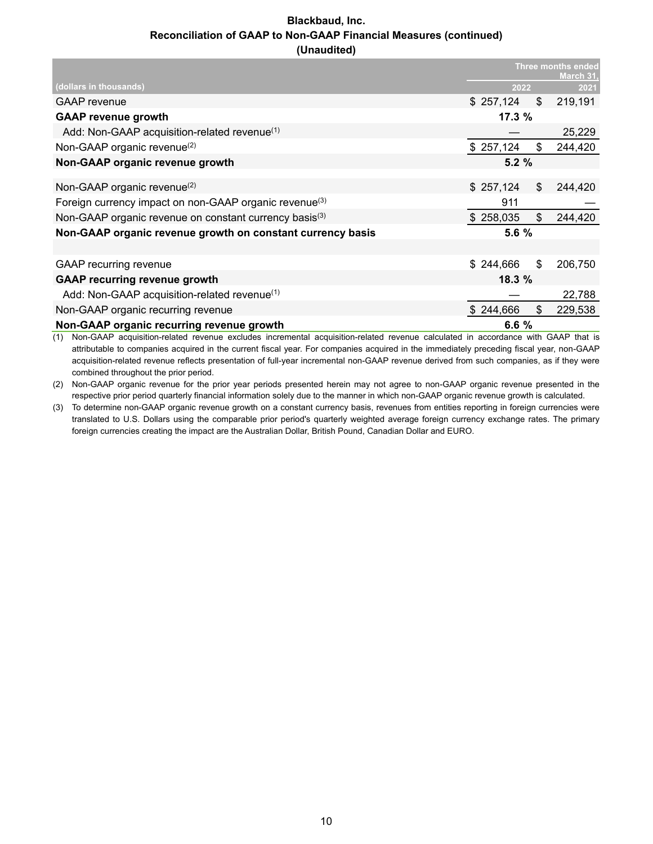#### **Blackbaud, Inc. Reconciliation of GAAP to Non-GAAP Financial Measures (continued) (Unaudited)**

|                                                                    |           |    | <b>Three months ended</b><br>March 31. |
|--------------------------------------------------------------------|-----------|----|----------------------------------------|
| (dollars in thousands)                                             | 2022      |    | 2021                                   |
| <b>GAAP</b> revenue                                                | \$257,124 | \$ | 219,191                                |
| <b>GAAP revenue growth</b>                                         | 17.3%     |    |                                        |
| Add: Non-GAAP acquisition-related revenue(1)                       |           |    | 25,229                                 |
| Non-GAAP organic revenue <sup>(2)</sup>                            | \$257,124 | \$ | 244,420                                |
| Non-GAAP organic revenue growth                                    | 5.2%      |    |                                        |
|                                                                    |           |    |                                        |
| Non-GAAP organic revenue <sup>(2)</sup>                            | \$257,124 | \$ | 244,420                                |
| Foreign currency impact on non-GAAP organic revenue <sup>(3)</sup> | 911       |    |                                        |
| Non-GAAP organic revenue on constant currency basis <sup>(3)</sup> | \$258,035 | \$ | 244,420                                |
| Non-GAAP organic revenue growth on constant currency basis         | 5.6%      |    |                                        |
|                                                                    |           |    |                                        |
| <b>GAAP</b> recurring revenue                                      | \$244,666 | \$ | 206,750                                |
| <b>GAAP recurring revenue growth</b>                               | 18.3%     |    |                                        |
| Add: Non-GAAP acquisition-related revenue <sup>(1)</sup>           |           |    | 22,788                                 |
| Non-GAAP organic recurring revenue                                 | \$244,666 | \$ | 229,538                                |
| Non-GAAP organic recurring revenue growth                          | 6.6%      |    |                                        |

(1) Non-GAAP acquisition-related revenue excludes incremental acquisition-related revenue calculated in accordance with GAAP that is attributable to companies acquired in the current fiscal year. For companies acquired in the immediately preceding fiscal year, non-GAAP acquisition-related revenue reflects presentation of full-year incremental non-GAAP revenue derived from such companies, as if they were combined throughout the prior period.

(2) Non-GAAP organic revenue for the prior year periods presented herein may not agree to non-GAAP organic revenue presented in the respective prior period quarterly financial information solely due to the manner in which non-GAAP organic revenue growth is calculated.

(3) To determine non-GAAP organic revenue growth on a constant currency basis, revenues from entities reporting in foreign currencies were translated to U.S. Dollars using the comparable prior period's quarterly weighted average foreign currency exchange rates. The primary foreign currencies creating the impact are the Australian Dollar, British Pound, Canadian Dollar and EURO.